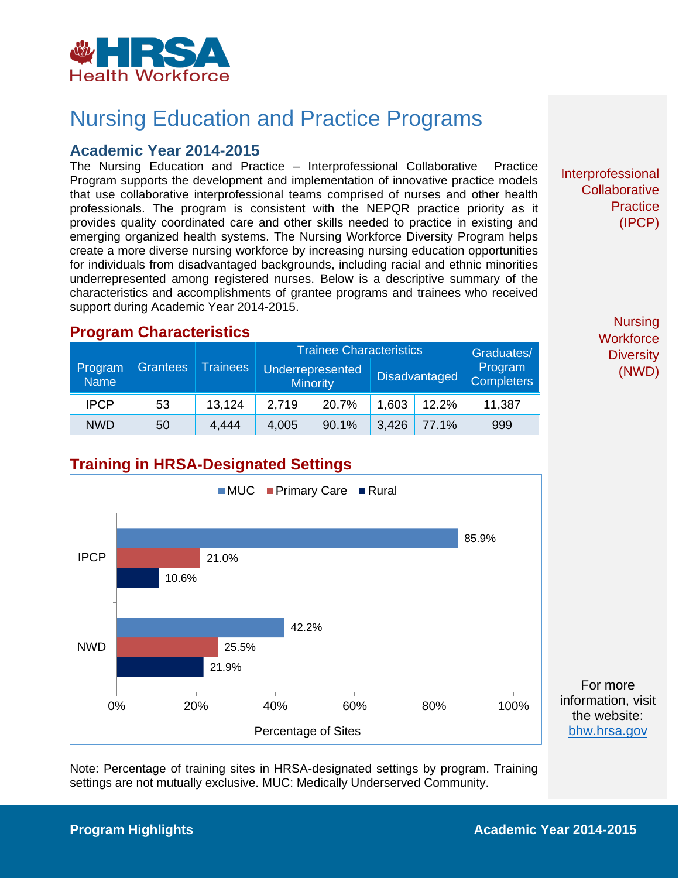

## Nursing Education and Practice Programs

#### **Academic Year 2014-2015**

The Nursing Education and Practice – Interprofessional Collaborative Practice Program supports the development and implementation of innovative practice models that use collaborative interprofessional teams comprised of nurses and other health professionals. The program is consistent with the NEPQR practice priority as it provides quality coordinated care and other skills needed to practice in existing and emerging organized health systems. The Nursing Workforce Diversity Program helps create a more diverse nursing workforce by increasing nursing education opportunities for individuals from disadvantaged backgrounds, including racial and ethnic minorities underrepresented among registered nurses. Below is a descriptive summary of the characteristics and accomplishments of grantee programs and trainees who received support during Academic Year 2014-2015.

#### **Program Characteristics**

| Program     | Grantees | <b>Trainees</b> | <b>Trainee Characteristics</b><br><b>Underrepresented</b><br><b>Minority</b> |       | <b>Disadvantaged</b> |       | Graduates/<br>Program<br><b>Completers</b> |
|-------------|----------|-----------------|------------------------------------------------------------------------------|-------|----------------------|-------|--------------------------------------------|
| <b>Name</b> |          |                 |                                                                              |       |                      |       |                                            |
| <b>IPCP</b> | 53       | 13.124          | 2.719                                                                        | 20.7% | 1,603                | 12.2% | 11,387                                     |
| <b>NWD</b>  | 50       | 4.444           | 4,005                                                                        | 90.1% | 3,426                | 77.1% | 999                                        |

Interprofessional **Collaborative Practice** (IPCP)

> **Nursing Workforce Diversity** (NWD)

## **Training in HRSA-Designated Settings**



Note: Percentage of training sites in HRSA-designated settings by program. Training settings are not mutually exclusive. MUC: Medically Underserved Community.